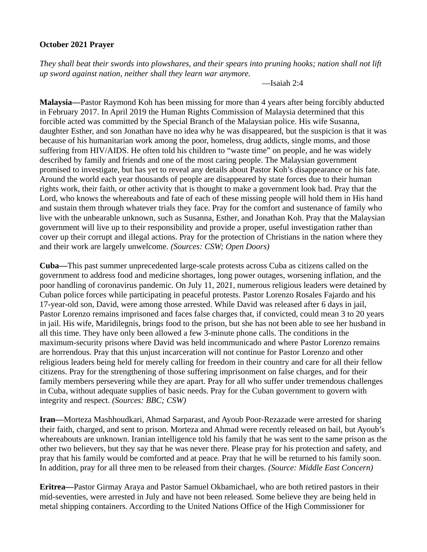## **October 2021 Prayer**

*They shall beat their swords into plowshares, and their spears into pruning hooks; nation shall not lift up sword against nation, neither shall they learn war anymore.*

—Isaiah 2:4

**Malaysia—**Pastor Raymond Koh has been missing for more than 4 years after being forcibly abducted in February 2017. In April 2019 the Human Rights Commission of Malaysia determined that this forcible acted was committed by the Special Branch of the Malaysian police. His wife Susanna, daughter Esther, and son Jonathan have no idea why he was disappeared, but the suspicion is that it was because of his humanitarian work among the poor, homeless, drug addicts, single moms, and those suffering from HIV/AIDS. He often told his children to "waste time" on people, and he was widely described by family and friends and one of the most caring people. The Malaysian government promised to investigate, but has yet to reveal any details about Pastor Koh's disappearance or his fate. Around the world each year thousands of people are disappeared by state forces due to their human rights work, their faith, or other activity that is thought to make a government look bad. Pray that the Lord, who knows the whereabouts and fate of each of these missing people will hold them in His hand and sustain them through whatever trials they face. Pray for the comfort and sustenance of family who live with the unbearable unknown, such as Susanna, Esther, and Jonathan Koh. Pray that the Malaysian government will live up to their responsibility and provide a proper, useful investigation rather than cover up their corrupt and illegal actions. Pray for the protection of Christians in the nation where they and their work are largely unwelcome. *(Sources: CSW; Open Doors)*

**Cuba—**This past summer unprecedented large-scale protests across Cuba as citizens called on the government to address food and medicine shortages, long power outages, worsening inflation, and the poor handling of coronavirus pandemic. On July 11, 2021, numerous religious leaders were detained by Cuban police forces while participating in peaceful protests. Pastor Lorenzo Rosales Fajardo and his 17-year-old son, David, were among those arrested. While David was released after 6 days in jail, Pastor Lorenzo remains imprisoned and faces false charges that, if convicted, could mean 3 to 20 years in jail. His wife, Maridilegnis, brings food to the prison, but she has not been able to see her husband in all this time. They have only been allowed a few 3-minute phone calls. The conditions in the maximum-security prisons where David was held incommunicado and where Pastor Lorenzo remains are horrendous. Pray that this unjust incarceration will not continue for Pastor Lorenzo and other religious leaders being held for merely calling for freedom in their country and care for all their fellow citizens. Pray for the strengthening of those suffering imprisonment on false charges, and for their family members persevering while they are apart. Pray for all who suffer under tremendous challenges in Cuba, without adequate supplies of basic needs. Pray for the Cuban government to govern with integrity and respect. *(Sources: BBC; CSW)*

**Iran—**Morteza Mashhoudkari, Ahmad Sarparast, and Ayoub Poor-Rezazade were arrested for sharing their faith, charged, and sent to prison. Morteza and Ahmad were recently released on bail, but Ayoub's whereabouts are unknown. Iranian intelligence told his family that he was sent to the same prison as the other two believers, but they say that he was never there. Please pray for his protection and safety, and pray that his family would be comforted and at peace. Pray that he will be returned to his family soon. In addition, pray for all three men to be released from their charges. *(Source: Middle East Concern)*

**Eritrea—**Pastor Girmay Araya and Pastor Samuel Okbamichael, who are both retired pastors in their mid-seventies, were arrested in July and have not been released. Some believe they are being held in metal shipping containers. According to the United Nations Office of the High Commissioner for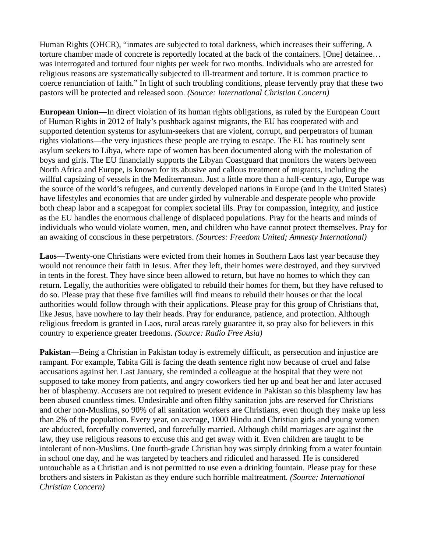Human Rights (OHCR), "inmates are subjected to total darkness, which increases their suffering. A torture chamber made of concrete is reportedly located at the back of the containers. [One] detainee… was interrogated and tortured four nights per week for two months. Individuals who are arrested for religious reasons are systematically subjected to ill-treatment and torture. It is common practice to coerce renunciation of faith." In light of such troubling conditions, please fervently pray that these two pastors will be protected and released soon. *(Source: International Christian Concern)*

**European Union—**In direct violation of its human rights obligations, as ruled by the European Court of Human Rights in 2012 of Italy's pushback against migrants, the EU has cooperated with and supported detention systems for asylum-seekers that are violent, corrupt, and perpetrators of human rights violations—the very injustices these people are trying to escape. The EU has routinely sent asylum seekers to Libya, where rape of women has been documented along with the molestation of boys and girls. The EU financially supports the Libyan Coastguard that monitors the waters between North Africa and Europe, is known for its abusive and callous treatment of migrants, including the willful capsizing of vessels in the Mediterranean. Just a little more than a half-century ago, Europe was the source of the world's refugees, and currently developed nations in Europe (and in the United States) have lifestyles and economies that are under girded by vulnerable and desperate people who provide both cheap labor and a scapegoat for complex societal ills. Pray for compassion, integrity, and justice as the EU handles the enormous challenge of displaced populations. Pray for the hearts and minds of individuals who would violate women, men, and children who have cannot protect themselves. Pray for an awaking of conscious in these perpetrators. *(Sources: Freedom United; Amnesty International)*

**Laos—**Twenty-one Christians were evicted from their homes in Southern Laos last year because they would not renounce their faith in Jesus. After they left, their homes were destroyed, and they survived in tents in the forest. They have since been allowed to return, but have no homes to which they can return. Legally, the authorities were obligated to rebuild their homes for them, but they have refused to do so. Please pray that these five families will find means to rebuild their houses or that the local authorities would follow through with their applications. Please pray for this group of Christians that, like Jesus, have nowhere to lay their heads. Pray for endurance, patience, and protection. Although religious freedom is granted in Laos, rural areas rarely guarantee it, so pray also for believers in this country to experience greater freedoms. *(Source: Radio Free Asia)*

**Pakistan—**Being a Christian in Pakistan today is extremely difficult, as persecution and injustice are rampant. For example, Tabita Gill is facing the death sentence right now because of cruel and false accusations against her. Last January, she reminded a colleague at the hospital that they were not supposed to take money from patients, and angry coworkers tied her up and beat her and later accused her of blasphemy. Accusers are not required to present evidence in Pakistan so this blasphemy law has been abused countless times. Undesirable and often filthy sanitation jobs are reserved for Christians and other non-Muslims, so 90% of all sanitation workers are Christians, even though they make up less than 2% of the population. Every year, on average, 1000 Hindu and Christian girls and young women are abducted, forcefully converted, and forcefully married. Although child marriages are against the law, they use religious reasons to excuse this and get away with it. Even children are taught to be intolerant of non-Muslims. One fourth-grade Christian boy was simply drinking from a water fountain in school one day, and he was targeted by teachers and ridiculed and harassed. He is considered untouchable as a Christian and is not permitted to use even a drinking fountain. Please pray for these brothers and sisters in Pakistan as they endure such horrible maltreatment. *(Source: International Christian Concern)*